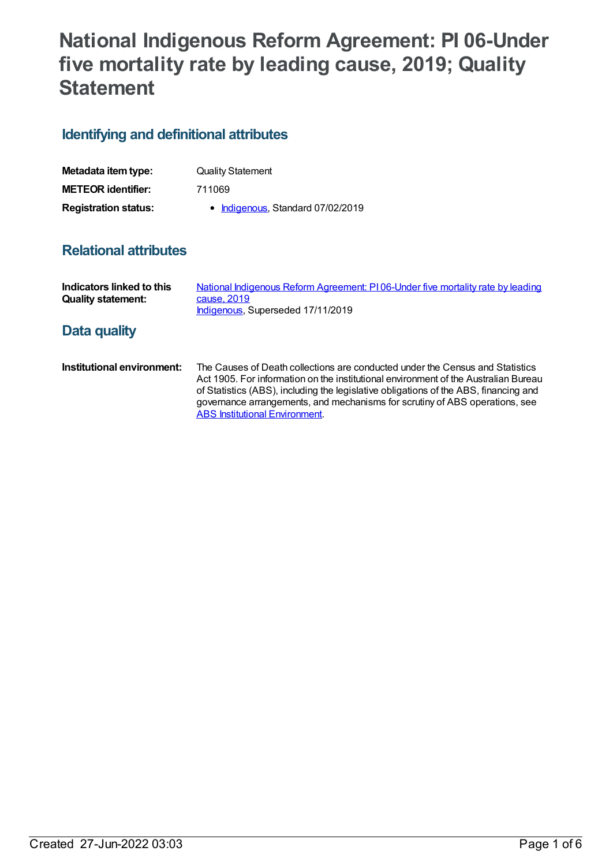# **National Indigenous Reform Agreement: PI 06-Under five mortality rate by leading cause, 2019; Quality Statement**

# **Identifying and definitional attributes**

| Metadata item type:         | <b>Quality Statement</b>          |
|-----------------------------|-----------------------------------|
| <b>METEOR identifier:</b>   | 711069                            |
| <b>Registration status:</b> | • Indigenous, Standard 07/02/2019 |

# **Relational attributes**

| Indicators linked to this<br><b>Quality statement:</b> | National Indigenous Reform Agreement: PI06-Under five mortality rate by leading<br>cause, 2019<br>Indigenous, Superseded 17/11/2019                                                                                                                                                                                                         |
|--------------------------------------------------------|---------------------------------------------------------------------------------------------------------------------------------------------------------------------------------------------------------------------------------------------------------------------------------------------------------------------------------------------|
| Data quality                                           |                                                                                                                                                                                                                                                                                                                                             |
| Institutional environment:                             | The Causes of Death collections are conducted under the Census and Statistics<br>Act 1905. For information on the institutional environment of the Australian Bureau<br>of Statistics (ABS), including the legislative obligations of the ABS, financing and<br>governance arrangements, and mechanisms for scrutiny of ABS operations, see |

**ABS Institutional [Environment](http://www.abs.gov.au/websitedbs/d3310114.nsf/4a256353001af3ed4b2562bb00121564/10ca14cb967e5b83ca2573ae00197b65!OpenDocument).**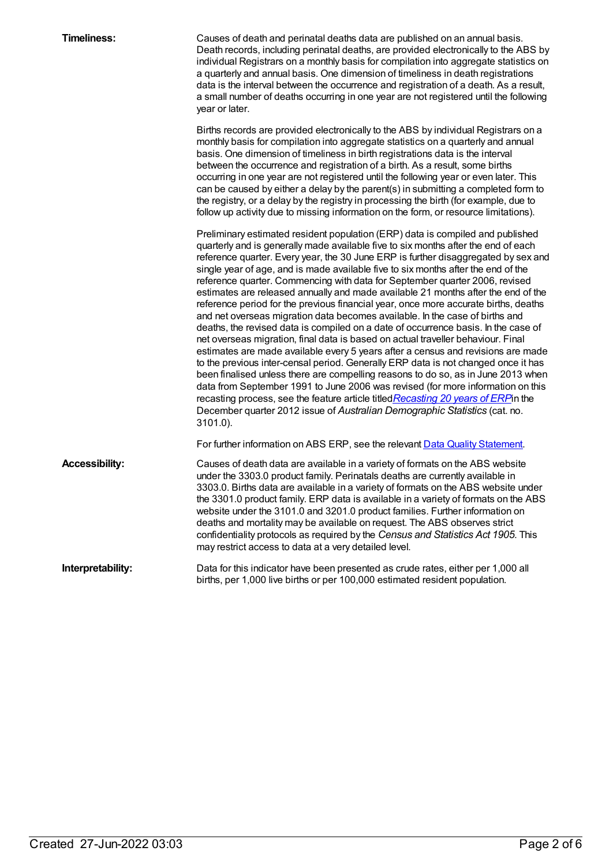| <b>Timeliness:</b>    | Causes of death and perinatal deaths data are published on an annual basis.<br>Death records, including perinatal deaths, are provided electronically to the ABS by<br>individual Registrars on a monthly basis for compilation into aggregate statistics on<br>a quarterly and annual basis. One dimension of timeliness in death registrations<br>data is the interval between the occurrence and registration of a death. As a result,<br>a small number of deaths occurring in one year are not registered until the following<br>year or later.                                                                                                                                                                                                                                                                                                                                                                                                                                                                                                                                                                                                                                                                                                                                                                                                                                                   |
|-----------------------|--------------------------------------------------------------------------------------------------------------------------------------------------------------------------------------------------------------------------------------------------------------------------------------------------------------------------------------------------------------------------------------------------------------------------------------------------------------------------------------------------------------------------------------------------------------------------------------------------------------------------------------------------------------------------------------------------------------------------------------------------------------------------------------------------------------------------------------------------------------------------------------------------------------------------------------------------------------------------------------------------------------------------------------------------------------------------------------------------------------------------------------------------------------------------------------------------------------------------------------------------------------------------------------------------------------------------------------------------------------------------------------------------------|
|                       | Births records are provided electronically to the ABS by individual Registrars on a<br>monthly basis for compilation into aggregate statistics on a quarterly and annual<br>basis. One dimension of timeliness in birth registrations data is the interval<br>between the occurrence and registration of a birth. As a result, some births<br>occurring in one year are not registered until the following year or even later. This<br>can be caused by either a delay by the parent(s) in submitting a completed form to<br>the registry, or a delay by the registry in processing the birth (for example, due to<br>follow up activity due to missing information on the form, or resource limitations).                                                                                                                                                                                                                                                                                                                                                                                                                                                                                                                                                                                                                                                                                             |
|                       | Preliminary estimated resident population (ERP) data is compiled and published<br>quarterly and is generally made available five to six months after the end of each<br>reference quarter. Every year, the 30 June ERP is further disaggregated by sex and<br>single year of age, and is made available five to six months after the end of the<br>reference quarter. Commencing with data for September quarter 2006, revised<br>estimates are released annually and made available 21 months after the end of the<br>reference period for the previous financial year, once more accurate births, deaths<br>and net overseas migration data becomes available. In the case of births and<br>deaths, the revised data is compiled on a date of occurrence basis. In the case of<br>net overseas migration, final data is based on actual traveller behaviour. Final<br>estimates are made available every 5 years after a census and revisions are made<br>to the previous inter-censal period. Generally ERP data is not changed once it has<br>been finalised unless there are compelling reasons to do so, as in June 2013 when<br>data from September 1991 to June 2006 was revised (for more information on this<br>recasting process, see the feature article titled Recasting 20 years of ERP in the<br>December quarter 2012 issue of Australian Demographic Statistics (cat. no.<br>3101.0). |
|                       | For further information on ABS ERP, see the relevant Data Quality Statement.                                                                                                                                                                                                                                                                                                                                                                                                                                                                                                                                                                                                                                                                                                                                                                                                                                                                                                                                                                                                                                                                                                                                                                                                                                                                                                                           |
| <b>Accessibility:</b> | Causes of death data are available in a variety of formats on the ABS website<br>under the 3303.0 product family. Perinatals deaths are currently available in<br>3303.0. Births data are available in a variety of formats on the ABS website under<br>the 3301.0 product family. ERP data is available in a variety of formats on the ABS<br>website under the 3101.0 and 3201.0 product families. Further information on<br>deaths and mortality may be available on request. The ABS observes strict<br>confidentiality protocols as required by the Census and Statistics Act 1905. This<br>may restrict access to data at a very detailed level.                                                                                                                                                                                                                                                                                                                                                                                                                                                                                                                                                                                                                                                                                                                                                 |
| Interpretability:     | Data for this indicator have been presented as crude rates, either per 1,000 all<br>births, per 1,000 live births or per 100,000 estimated resident population.                                                                                                                                                                                                                                                                                                                                                                                                                                                                                                                                                                                                                                                                                                                                                                                                                                                                                                                                                                                                                                                                                                                                                                                                                                        |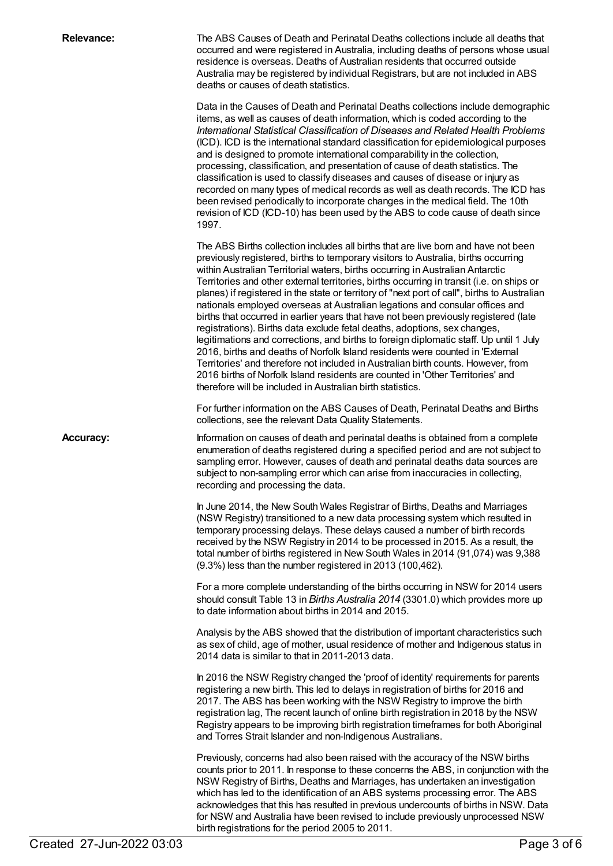| <b>Relevance:</b> | The ABS Causes of Death and Perinatal Deaths collections include all deaths that<br>occurred and were registered in Australia, including deaths of persons whose usual<br>residence is overseas. Deaths of Australian residents that occurred outside<br>Australia may be registered by individual Registrars, but are not included in ABS<br>deaths or causes of death statistics.                                                                                                                                                                                                                                                                                                                                                                                                                                                                                                                                                                                                                                                                                                                                          |
|-------------------|------------------------------------------------------------------------------------------------------------------------------------------------------------------------------------------------------------------------------------------------------------------------------------------------------------------------------------------------------------------------------------------------------------------------------------------------------------------------------------------------------------------------------------------------------------------------------------------------------------------------------------------------------------------------------------------------------------------------------------------------------------------------------------------------------------------------------------------------------------------------------------------------------------------------------------------------------------------------------------------------------------------------------------------------------------------------------------------------------------------------------|
|                   | Data in the Causes of Death and Perinatal Deaths collections include demographic<br>items, as well as causes of death information, which is coded according to the<br>International Statistical Classification of Diseases and Related Health Problems<br>(ICD). ICD is the international standard classification for epidemiological purposes<br>and is designed to promote international comparability in the collection,<br>processing, classification, and presentation of cause of death statistics. The<br>classification is used to classify diseases and causes of disease or injury as<br>recorded on many types of medical records as well as death records. The ICD has<br>been revised periodically to incorporate changes in the medical field. The 10th<br>revision of ICD (ICD-10) has been used by the ABS to code cause of death since<br>1997.                                                                                                                                                                                                                                                             |
|                   | The ABS Births collection includes all births that are live born and have not been<br>previously registered, births to temporary visitors to Australia, births occurring<br>within Australian Territorial waters, births occurring in Australian Antarctic<br>Territories and other external territories, births occurring in transit (i.e. on ships or<br>planes) if registered in the state or territory of "next port of call", births to Australian<br>nationals employed overseas at Australian legations and consular offices and<br>births that occurred in earlier years that have not been previously registered (late<br>registrations). Births data exclude fetal deaths, adoptions, sex changes,<br>legitimations and corrections, and births to foreign diplomatic staff. Up until 1 July<br>2016, births and deaths of Norfolk Island residents were counted in 'External<br>Territories' and therefore not included in Australian birth counts. However, from<br>2016 births of Norfolk Island residents are counted in 'Other Territories' and<br>therefore will be included in Australian birth statistics. |
|                   | For further information on the ABS Causes of Death, Perinatal Deaths and Births<br>collections, see the relevant Data Quality Statements.                                                                                                                                                                                                                                                                                                                                                                                                                                                                                                                                                                                                                                                                                                                                                                                                                                                                                                                                                                                    |
| <b>Accuracy:</b>  | Information on causes of death and perinatal deaths is obtained from a complete<br>enumeration of deaths registered during a specified period and are not subject to<br>sampling error. However, causes of death and perinatal deaths data sources are<br>subject to non-sampling error which can arise from inaccuracies in collecting,<br>recording and processing the data.                                                                                                                                                                                                                                                                                                                                                                                                                                                                                                                                                                                                                                                                                                                                               |
|                   | In June 2014, the New South Wales Registrar of Births, Deaths and Marriages<br>(NSW Registry) transitioned to a new data processing system which resulted in<br>temporary processing delays. These delays caused a number of birth records<br>received by the NSW Registry in 2014 to be processed in 2015. As a result, the<br>total number of births registered in New South Wales in 2014 (91,074) was 9,388<br>(9.3%) less than the number registered in 2013 (100,462).                                                                                                                                                                                                                                                                                                                                                                                                                                                                                                                                                                                                                                                 |
|                   | For a more complete understanding of the births occurring in NSW for 2014 users<br>should consult Table 13 in Births Australia 2014 (3301.0) which provides more up<br>to date information about births in 2014 and 2015.                                                                                                                                                                                                                                                                                                                                                                                                                                                                                                                                                                                                                                                                                                                                                                                                                                                                                                    |
|                   | Analysis by the ABS showed that the distribution of important characteristics such<br>as sex of child, age of mother, usual residence of mother and Indigenous status in<br>2014 data is similar to that in 2011-2013 data.                                                                                                                                                                                                                                                                                                                                                                                                                                                                                                                                                                                                                                                                                                                                                                                                                                                                                                  |
|                   | In 2016 the NSW Registry changed the 'proof of identity' requirements for parents<br>registering a new birth. This led to delays in registration of births for 2016 and<br>2017. The ABS has been working with the NSW Registry to improve the birth<br>registration lag, The recent launch of online birth registration in 2018 by the NSW<br>Registry appears to be improving birth registration timeframes for both Aboriginal<br>and Torres Strait Islander and non-Indigenous Australians.                                                                                                                                                                                                                                                                                                                                                                                                                                                                                                                                                                                                                              |
|                   | Previously, concerns had also been raised with the accuracy of the NSW births<br>counts prior to 2011. In response to these concerns the ABS, in conjunction with the<br>NSW Registry of Births, Deaths and Marriages, has undertaken an investigation<br>which has led to the identification of an ABS systems processing error. The ABS<br>acknowledges that this has resulted in previous undercounts of births in NSW. Data<br>for NSW and Australia have been revised to include previously unprocessed NSW<br>birth registrations for the period 2005 to 2011.                                                                                                                                                                                                                                                                                                                                                                                                                                                                                                                                                         |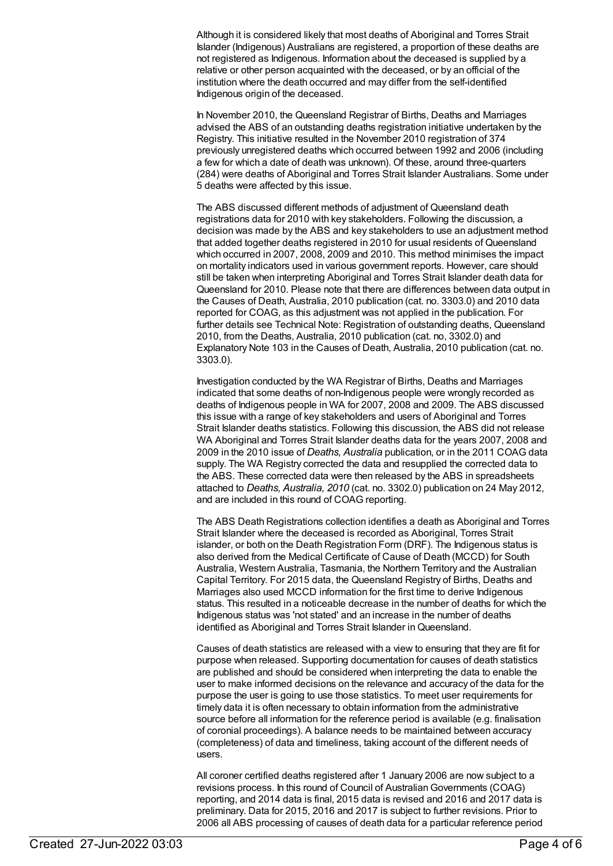Although it is considered likely that most deaths of Aboriginal and Torres Strait Islander (Indigenous) Australians are registered, a proportion of these deaths are not registered as Indigenous. Information about the deceased is supplied by a relative or other person acquainted with the deceased, or by an official of the institution where the death occurred and may differ from the self-identified Indigenous origin of the deceased.

In November 2010, the Queensland Registrar of Births, Deaths and Marriages advised the ABS of an outstanding deaths registration initiative undertaken by the Registry. This initiative resulted in the November 2010 registration of 374 previously unregistered deaths which occurred between 1992 and 2006 (including a few for which a date of death was unknown). Of these, around three-quarters (284) were deaths of Aboriginal and Torres Strait Islander Australians. Some under 5 deaths were affected by this issue.

The ABS discussed different methods of adjustment of Queensland death registrations data for 2010 with key stakeholders. Following the discussion, a decision was made by the ABS and key stakeholders to use an adjustment method that added together deaths registered in 2010 for usual residents of Queensland which occurred in 2007, 2008, 2009 and 2010. This method minimises the impact on mortality indicators used in various government reports. However, care should still be taken when interpreting Aboriginal and Torres Strait Islander death data for Queensland for 2010. Please note that there are differences between data output in the Causes of Death, Australia, 2010 publication (cat. no. 3303.0) and 2010 data reported for COAG, as this adjustment was not applied in the publication. For further details see Technical Note: Registration of outstanding deaths, Queensland 2010, from the Deaths, Australia, 2010 publication (cat. no, 3302.0) and Explanatory Note 103 in the Causes of Death, Australia, 2010 publication (cat. no. 3303.0).

Investigation conducted by the WA Registrar of Births, Deaths and Marriages indicated that some deaths of non-Indigenous people were wrongly recorded as deaths of Indigenous people in WA for 2007, 2008 and 2009. The ABS discussed this issue with a range of key stakeholders and users of Aboriginal and Torres Strait Islander deaths statistics. Following this discussion, the ABS did not release WA Aboriginal and Torres Strait Islander deaths data for the years 2007, 2008 and 2009 in the 2010 issue of *Deaths, Australia* publication, or in the 2011 COAG data supply. The WA Registry corrected the data and resupplied the corrected data to the ABS. These corrected data were then released by the ABS in spreadsheets attached to *Deaths, Australia, 2010* (cat. no. 3302.0) publication on 24 May 2012, and are included in this round of COAG reporting.

The ABS Death Registrations collection identifies a death as Aboriginal and Torres Strait Islander where the deceased is recorded as Aboriginal, Torres Strait islander, or both on the Death Registration Form (DRF). The Indigenous status is also derived from the Medical Certificate of Cause of Death (MCCD) for South Australia, Western Australia, Tasmania, the Northern Territory and the Australian Capital Territory. For 2015 data, the Queensland Registry of Births, Deaths and Marriages also used MCCD information for the first time to derive Indigenous status. This resulted in a noticeable decrease in the number of deaths for which the Indigenous status was 'not stated' and an increase in the number of deaths identified as Aboriginal and Torres Strait Islander in Queensland.

Causes of death statistics are released with a view to ensuring that they are fit for purpose when released. Supporting documentation for causes of death statistics are published and should be considered when interpreting the data to enable the user to make informed decisions on the relevance and accuracy of the data for the purpose the user is going to use those statistics. To meet user requirements for timely data it is often necessary to obtain information from the administrative source before all information for the reference period is available (e.g. finalisation of coronial proceedings). A balance needs to be maintained between accuracy (completeness) of data and timeliness, taking account of the different needs of users.

All coroner certified deaths registered after 1 January 2006 are now subject to a revisions process. In this round of Council of Australian Governments (COAG) reporting, and 2014 data is final, 2015 data is revised and 2016 and 2017 data is preliminary. Data for 2015, 2016 and 2017 is subject to further revisions. Prior to 2006 all ABS processing of causes of death data for a particular reference period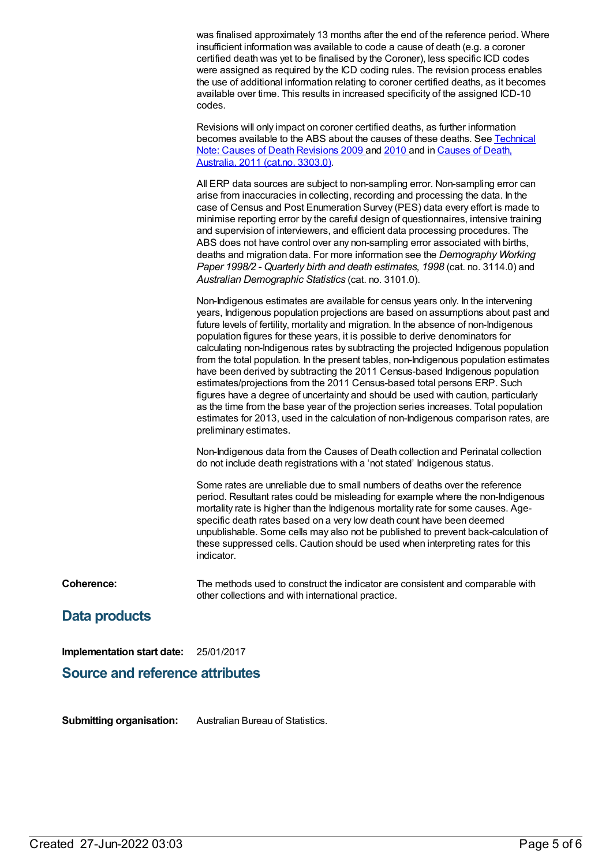was finalised approximately 13 months after the end of the reference period. Where insufficient information was available to code a cause of death (e.g. a coroner certified death was yet to be finalised by the Coroner), less specific ICD codes were assigned as required by the ICD coding rules. The revision process enables the use of additional information relating to coroner certified deaths, as it becomes available over time. This results in increased specificity of the assigned ICD-10 codes.

Revisions will only impact on coroner certified deaths, as further information [becomes](http://www.abs.gov.au/AUSSTATS/abs@.Nsf/7d12b0f6763c78caca257061001cc588/c87b6c57bfcf5e69ca2579c6000f7a27!OpenDocument) available to the ABS about the causes of these deaths. See Technical Note: Causes of Death [Revisions](http://www.abs.gov.au/AUSSTATS/abs@.nsf/allprimarymainfeatures/3F8399A58BFB8F53CA257CA5000C9203?opendocument) 2009 and [2010](http://www.abs.gov.au/AUSSTATS/abs@.Nsf/39433889d406eeb9ca2570610019e9a5/b56a0a7f11aae61bca257b2e000d8091!OpenDocument) and in Causes of Death, Australia, 2011 (cat.no. 3303.0[\).](http://www.abs.gov.au/AUSSTATS/abs@.nsf/allprimarymainfeatures/3F8399A58BFB8F53CA257CA5000C9203?opendocument)

All ERP data sources are subject to non-sampling error. Non-sampling error can arise from inaccuracies in collecting, recording and processing the data. In the case of Census and Post Enumeration Survey (PES) data every effort is made to minimise reporting error by the careful design of questionnaires, intensive training and supervision of interviewers, and efficient data processing procedures. The ABS does not have control over any non-sampling error associated with births, deaths and migration data. For more information see the *Demography Working Paper 1998/2 - Quarterly birth and death estimates, 1998* (cat. no. 3114.0) and *Australian Demographic Statistics* (cat. no. 3101.0).

Non-Indigenous estimates are available for census years only. In the intervening years, Indigenous population projections are based on assumptions about past and future levels of fertility, mortality and migration. In the absence of non-Indigenous population figures for these years, it is possible to derive denominators for calculating non-Indigenous rates by subtracting the projected Indigenous population from the total population. In the present tables, non-Indigenous population estimates have been derived by subtracting the 2011 Census-based Indigenous population estimates/projections from the 2011 Census-based total persons ERP. Such figures have a degree of uncertainty and should be used with caution, particularly as the time from the base year of the projection series increases. Total population estimates for 2013, used in the calculation of non-Indigenous comparison rates, are preliminary estimates.

Non-Indigenous data from the Causes of Death collection and Perinatal collection do not include death registrations with a 'not stated' Indigenous status.

Some rates are unreliable due to small numbers of deaths over the reference period. Resultant rates could be misleading for example where the non-Indigenous mortality rate is higher than the Indigenous mortality rate for some causes. Agespecific death rates based on a very low death count have been deemed unpublishable. Some cells may also not be published to prevent back-calculation of these suppressed cells. Caution should be used when interpreting rates for this indicator.

**Coherence:** The methods used to construct the indicator are consistent and comparable with other collections and with international practice.

## **Data products**

**Implementation start date:** 25/01/2017

#### **Source and reference attributes**

**Submitting organisation:** Australian Bureau of Statistics.